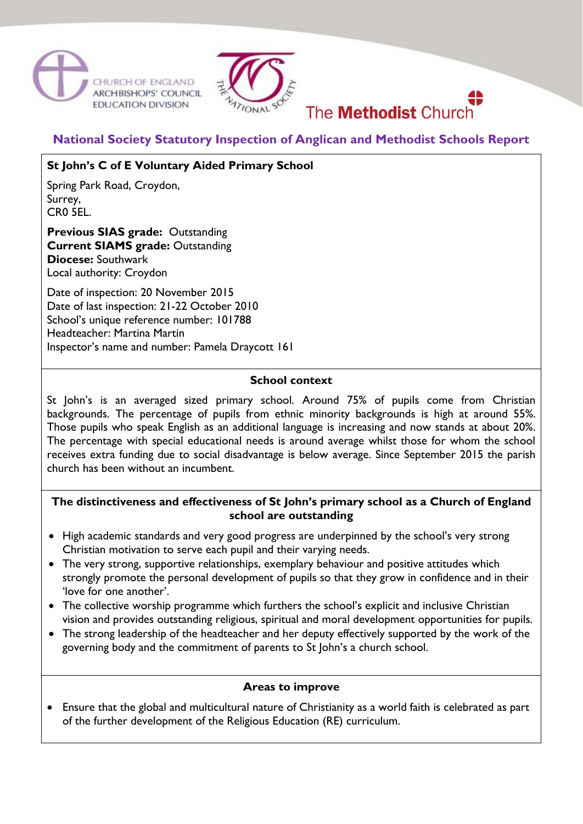



# **National Society Statutory Inspection of Anglican and Methodist Schools Report**

The **Methodist** Church

## **St John's C of E Voluntary Aided Primary School**

Spring Park Road, Croydon, Surrey, CR0 5EL.

**Previous SIAS grade:** Outstanding **Current SIAMS grade:** Outstanding **Diocese:** Southwark Local authority: Croydon

Date of inspection: 20 November 2015 Date of last inspection: 21-22 October 2010 School's unique reference number: 101788 Headteacher: Martina Martin Inspector's name and number: Pamela Draycott 161

## **School context**

St John's is an averaged sized primary school. Around 75% of pupils come from Christian backgrounds. The percentage of pupils from ethnic minority backgrounds is high at around 55%. Those pupils who speak English as an additional language is increasing and now stands at about 20%. The percentage with special educational needs is around average whilst those for whom the school receives extra funding due to social disadvantage is below average. Since September 2015 the parish church has been without an incumbent.

## **The distinctiveness and effectiveness of St John's primary school as a Church of England school are outstanding**

- High academic standards and very good progress are underpinned by the school's very strong Christian motivation to serve each pupil and their varying needs.
- The very strong, supportive relationships, exemplary behaviour and positive attitudes which strongly promote the personal development of pupils so that they grow in confidence and in their 'love for one another'.
- The collective worship programme which furthers the school's explicit and inclusive Christian vision and provides outstanding religious, spiritual and moral development opportunities for pupils.
- The strong leadership of the headteacher and her deputy effectively supported by the work of the governing body and the commitment of parents to St John's a church school.

#### **Areas to improve**

 Ensure that the global and multicultural nature of Christianity as a world faith is celebrated as part of the further development of the Religious Education (RE) curriculum.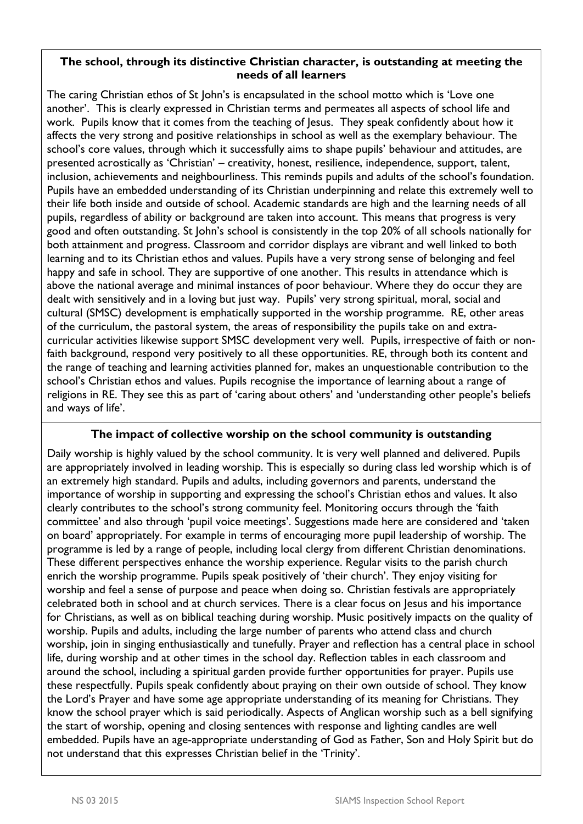## **The school, through its distinctive Christian character, is outstanding at meeting the needs of all learners**

The caring Christian ethos of St John's is encapsulated in the school motto which is 'Love one another'. This is clearly expressed in Christian terms and permeates all aspects of school life and work. Pupils know that it comes from the teaching of Jesus. They speak confidently about how it affects the very strong and positive relationships in school as well as the exemplary behaviour. The school's core values, through which it successfully aims to shape pupils' behaviour and attitudes, are presented acrostically as 'Christian' – creativity, honest, resilience, independence, support, talent, inclusion, achievements and neighbourliness. This reminds pupils and adults of the school's foundation. Pupils have an embedded understanding of its Christian underpinning and relate this extremely well to their life both inside and outside of school. Academic standards are high and the learning needs of all pupils, regardless of ability or background are taken into account. This means that progress is very good and often outstanding. St John's school is consistently in the top 20% of all schools nationally for both attainment and progress. Classroom and corridor displays are vibrant and well linked to both learning and to its Christian ethos and values. Pupils have a very strong sense of belonging and feel happy and safe in school. They are supportive of one another. This results in attendance which is above the national average and minimal instances of poor behaviour. Where they do occur they are dealt with sensitively and in a loving but just way. Pupils' very strong spiritual, moral, social and cultural (SMSC) development is emphatically supported in the worship programme. RE, other areas of the curriculum, the pastoral system, the areas of responsibility the pupils take on and extracurricular activities likewise support SMSC development very well. Pupils, irrespective of faith or nonfaith background, respond very positively to all these opportunities. RE, through both its content and the range of teaching and learning activities planned for, makes an unquestionable contribution to the school's Christian ethos and values. Pupils recognise the importance of learning about a range of religions in RE. They see this as part of 'caring about others' and 'understanding other people's beliefs and ways of life'.

## **The impact of collective worship on the school community is outstanding**

Daily worship is highly valued by the school community. It is very well planned and delivered. Pupils are appropriately involved in leading worship. This is especially so during class led worship which is of an extremely high standard. Pupils and adults, including governors and parents, understand the importance of worship in supporting and expressing the school's Christian ethos and values. It also clearly contributes to the school's strong community feel. Monitoring occurs through the 'faith committee' and also through 'pupil voice meetings'. Suggestions made here are considered and 'taken on board' appropriately. For example in terms of encouraging more pupil leadership of worship. The programme is led by a range of people, including local clergy from different Christian denominations. These different perspectives enhance the worship experience. Regular visits to the parish church enrich the worship programme. Pupils speak positively of 'their church'. They enjoy visiting for worship and feel a sense of purpose and peace when doing so. Christian festivals are appropriately celebrated both in school and at church services. There is a clear focus on Jesus and his importance for Christians, as well as on biblical teaching during worship. Music positively impacts on the quality of worship. Pupils and adults, including the large number of parents who attend class and church worship, join in singing enthusiastically and tunefully. Prayer and reflection has a central place in school life, during worship and at other times in the school day. Reflection tables in each classroom and around the school, including a spiritual garden provide further opportunities for prayer. Pupils use these respectfully. Pupils speak confidently about praying on their own outside of school. They know the Lord's Prayer and have some age appropriate understanding of its meaning for Christians. They know the school prayer which is said periodically. Aspects of Anglican worship such as a bell signifying the start of worship, opening and closing sentences with response and lighting candles are well embedded. Pupils have an age-appropriate understanding of God as Father, Son and Holy Spirit but do not understand that this expresses Christian belief in the 'Trinity'.